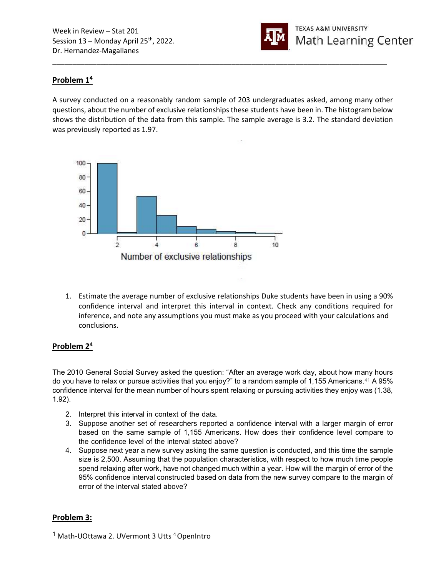

## Problem 1<sup>4</sup>

A survey conducted on a reasonably random sample of 203 undergraduates asked, among many other questions, about the number of exclusive relationships these students have been in. The histogram below shows the distribution of the data from this sample. The sample average is 3.2. The standard deviation was previously reported as 1.97.

\_\_\_\_\_\_\_\_\_\_\_\_\_\_\_\_\_\_\_\_\_\_\_\_\_\_\_\_\_\_\_\_\_\_\_\_\_\_\_\_\_\_\_\_\_\_\_\_\_\_\_\_\_\_\_\_\_\_\_\_\_\_\_\_\_\_\_\_\_\_\_\_\_\_\_\_\_\_\_\_\_\_\_\_



1. Estimate the average number of exclusive relationships Duke students have been in using a 90% confidence interval and interpret this interval in context. Check any conditions required for inference, and note any assumptions you must make as you proceed with your calculations and conclusions.

## Problem 2<sup>4</sup>

The 2010 General Social Survey asked the question: "After an average work day, about how many hours do you have to relax or pursue activities that you enjoy?" to a random sample of 1,155 Americans.<sup>41</sup> A 95% confidence interval for the mean number of hours spent relaxing or pursuing activities they enjoy was (1.38, 1.92).

- 2. Interpret this interval in context of the data.
- 3. Suppose another set of researchers reported a confidence interval with a larger margin of error based on the same sample of 1,155 Americans. How does their confidence level compare to the confidence level of the interval stated above?
- 4. Suppose next year a new survey asking the same question is conducted, and this time the sample size is 2,500. Assuming that the population characteristics, with respect to how much time people spend relaxing after work, have not changed much within a year. How will the margin of error of the 95% confidence interval constructed based on data from the new survey compare to the margin of error of the interval stated above?

## Problem 3:

<sup>1</sup> Math-UOttawa 2. UVermont 3 Utts <sup>4</sup> OpenIntro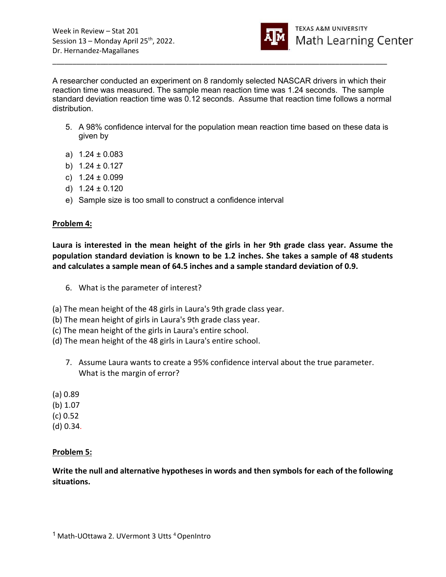

A researcher conducted an experiment on 8 randomly selected NASCAR drivers in which their reaction time was measured. The sample mean reaction time was 1.24 seconds. The sample standard deviation reaction time was 0.12 seconds. Assume that reaction time follows a normal distribution.

\_\_\_\_\_\_\_\_\_\_\_\_\_\_\_\_\_\_\_\_\_\_\_\_\_\_\_\_\_\_\_\_\_\_\_\_\_\_\_\_\_\_\_\_\_\_\_\_\_\_\_\_\_\_\_\_\_\_\_\_\_\_\_\_\_\_\_\_\_\_\_\_\_\_\_\_\_\_\_\_\_\_\_\_

- 5. A 98% confidence interval for the population mean reaction time based on these data is given by
- a)  $1.24 \pm 0.083$
- b)  $1.24 \pm 0.127$
- c)  $1.24 \pm 0.099$
- d)  $1.24 \pm 0.120$
- e) Sample size is too small to construct a confidence interval

## Problem 4:

Laura is interested in the mean height of the girls in her 9th grade class year. Assume the population standard deviation is known to be 1.2 inches. She takes a sample of 48 students and calculates a sample mean of 64.5 inches and a sample standard deviation of 0.9.

- 6. What is the parameter of interest?
- (a) The mean height of the 48 girls in Laura's 9th grade class year.
- (b) The mean height of girls in Laura's 9th grade class year.
- (c) The mean height of the girls in Laura's entire school.
- (d) The mean height of the 48 girls in Laura's entire school.
	- 7. Assume Laura wants to create a 95% confidence interval about the true parameter. What is the margin of error?
- (a) 0.89 (b) 1.07
- (c) 0.52
- (d) 0.34.

# Problem 5:

Write the null and alternative hypotheses in words and then symbols for each of the following situations.